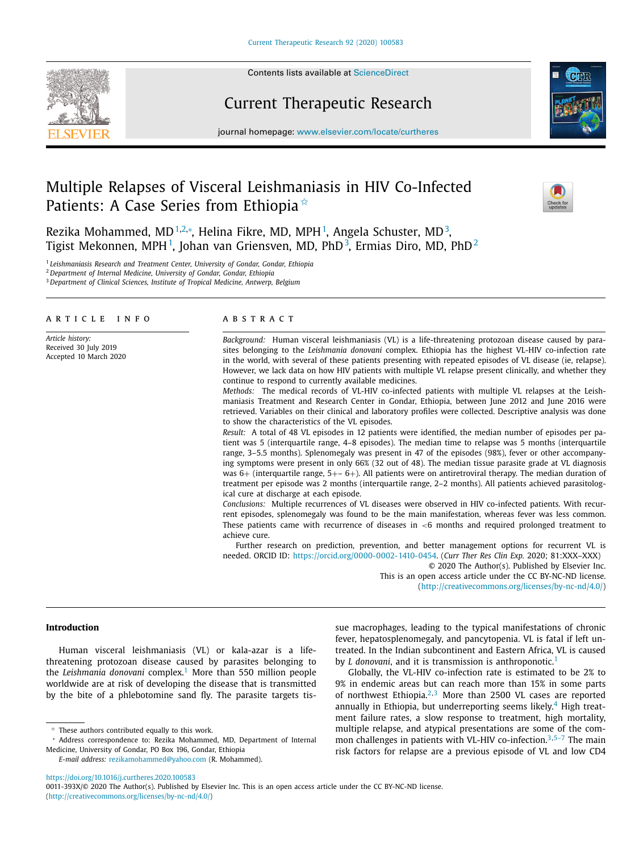

Contents lists available at [ScienceDirect](http://www.ScienceDirect.com)

## Current Therapeutic Research



journal homepage: [www.elsevier.com/locate/curtheres](http://www.elsevier.com/locate/curtheres)

# Multiple Relapses of Visceral Leishmaniasis in HIV Co-Infected Patients: A Case Series from Ethiopia <sup>☆</sup>



Rezika Mohammed, MD<sup>1,2,</sup>\*, Helina Fikre, MD, MPH<sup>1</sup>, Angela Schuster, MD<sup>3</sup>, Tigist Mekonnen, MPH<sup>1</sup>, Johan van Griensven, MD, PhD<sup>3</sup>, Ermias Diro, MD, PhD<sup>2</sup>

<sup>1</sup> *Leishmaniasis Research and Treatment Center, University of Gondar, Gondar, Ethiopia*

<sup>2</sup> *Department of Internal Medicine, University of Gondar, Gondar, Ethiopia*

<sup>3</sup> *Department of Clinical Sciences, Institute of Tropical Medicine, Antwerp, Belgium*

#### a r t i c l e i n f o

*Article history:* Received 30 July 2019 Accepted 10 March 2020

## a b s t r a c t

*Background:* Human visceral leishmaniasis (VL) is a life-threatening protozoan disease caused by parasites belonging to the *Leishmania donovani* complex. Ethiopia has the highest VL-HIV co-infection rate in the world, with several of these patients presenting with repeated episodes of VL disease (ie, relapse). However, we lack data on how HIV patients with multiple VL relapse present clinically, and whether they continue to respond to currently available medicines.

*Methods:* The medical records of VL-HIV co-infected patients with multiple VL relapses at the Leishmaniasis Treatment and Research Center in Gondar, Ethiopia, between June 2012 and June 2016 were retrieved. Variables on their clinical and laboratory profiles were collected. Descriptive analysis was done to show the characteristics of the VL episodes.

*Result:* A total of 48 VL episodes in 12 patients were identified, the median number of episodes per patient was 5 (interquartile range, 4–8 episodes). The median time to relapse was 5 months (interquartile range, 3–5.5 months). Splenomegaly was present in 47 of the episodes (98%), fever or other accompanying symptoms were present in only 66% (32 out of 48). The median tissue parasite grade at VL diagnosis was 6+ (interquartile range, 5+– 6+). All patients were on antiretroviral therapy. The median duration of treatment per episode was 2 months (interquartile range, 2–2 months). All patients achieved parasitological cure at discharge at each episode.

*Conclusions:* Multiple recurrences of VL diseases were observed in HIV co-infected patients. With recurrent episodes, splenomegaly was found to be the main manifestation, whereas fever was less common. These patients came with recurrence of diseases in  $<6$  months and required prolonged treatment to achieve cure.

Further research on prediction, prevention, and better management options for recurrent VL is needed. ORCID ID: [https://orcid.org/0000-0002-1410-0454.](https://orcid.org/0000-0002-1410-0454) (*Curr Ther Res Clin Exp.* 2020; 81:XXX–XXX)

© 2020 The Author(s). Published by Elsevier Inc. This is an open access article under the CC BY-NC-ND license. [\(http://creativecommons.org/licenses/by-nc-nd/4.0/\)](http://creativecommons.org/licenses/by-nc-nd/4.0/)

## **Introduction**

Human visceral leishmaniasis (VL) or kala-azar is a lifethreatening protozoan disease caused by parasites belonging to the *Leishmania donovani* complex.[1](#page-4-0) More than 550 million people worldwide are at risk of developing the disease that is transmitted by the bite of a phlebotomine sand fly. The parasite targets tissue macrophages, leading to the typical manifestations of chronic fever, hepatosplenomegaly, and pancytopenia. VL is fatal if left untreated. In the Indian subcontinent and Eastern Africa, VL is caused by *L* donovani, and it is transmission is anthroponotic.<sup>[1](#page-4-0)</sup>

Globally, the VL-HIV co-infection rate is estimated to be 2% to 9% in endemic areas but can reach more than 15% in some parts of northwest Ethiopia. $2,3$  $2,3$  More than 2500 VL cases are reported annually in Ethiopia, but underreporting seems likely.<sup>[4](#page-5-0)</sup> High treatment failure rates, a slow response to treatment, high mortality, multiple relapse, and atypical presentations are some of the common challenges in patients with VL-HIV co-infection.<sup>3,5-7</sup> The main risk factors for relapse are a previous episode of VL and low CD4

<https://doi.org/10.1016/j.curtheres.2020.100583>

 $*$  These authors contributed equally to this work.

<sup>∗</sup> Address correspondence to: Rezika Mohammed, MD, Department of Internal Medicine, University of Gondar, PO Box 196, Gondar, Ethiopia *E-mail address:* [rezikamohammed@yahoo.com](mailto:rezikamohammed@yahoo.com) (R. Mohammed).

<sup>0011-393</sup>X/© 2020 The Author(s). Published by Elsevier Inc. This is an open access article under the CC BY-NC-ND license. [\(http://creativecommons.org/licenses/by-nc-nd/4.0/\)](http://creativecommons.org/licenses/by-nc-nd/4.0/)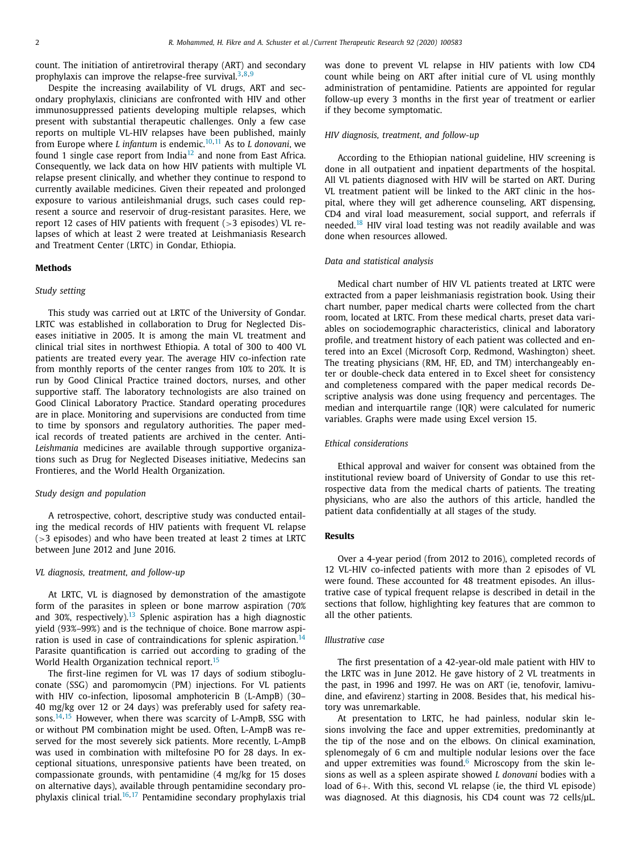count. The initiation of antiretroviral therapy (ART) and secondary prophylaxis can improve the relapse-free survival.<sup>[3,8,9](#page-5-0)</sup>

Despite the increasing availability of VL drugs, ART and secondary prophylaxis, clinicians are confronted with HIV and other immunosuppressed patients developing multiple relapses, which present with substantial therapeutic challenges. Only a few case reports on multiple VL-HIV relapses have been published, mainly from Europe where *L infantum* is endemic.[10,11](#page-5-0) As to *L donovani*, we found 1 single case report from India<sup>[12](#page-5-0)</sup> and none from East Africa. Consequently, we lack data on how HIV patients with multiple VL relapse present clinically, and whether they continue to respond to currently available medicines. Given their repeated and prolonged exposure to various antileishmanial drugs, such cases could represent a source and reservoir of drug-resistant parasites. Here, we report 12 cases of HIV patients with frequent (>3 episodes) VL relapses of which at least 2 were treated at Leishmaniasis Research and Treatment Center (LRTC) in Gondar, Ethiopia.

## **Methods**

## *Study setting*

This study was carried out at LRTC of the University of Gondar. LRTC was established in collaboration to Drug for Neglected Diseases initiative in 2005. It is among the main VL treatment and clinical trial sites in northwest Ethiopia. A total of 300 to 400 VL patients are treated every year. The average HIV co-infection rate from monthly reports of the center ranges from 10% to 20%. It is run by Good Clinical Practice trained doctors, nurses, and other supportive staff. The laboratory technologists are also trained on Good Clinical Laboratory Practice. Standard operating procedures are in place. Monitoring and supervisions are conducted from time to time by sponsors and regulatory authorities. The paper medical records of treated patients are archived in the center. Anti-*Leishmania* medicines are available through supportive organizations such as Drug for Neglected Diseases initiative, Medecins san Frontieres, and the World Health Organization.

#### *Study design and population*

A retrospective, cohort, descriptive study was conducted entailing the medical records of HIV patients with frequent VL relapse (>3 episodes) and who have been treated at least 2 times at LRTC between June 2012 and June 2016.

## *VL diagnosis, treatment, and follow-up*

At LRTC, VL is diagnosed by demonstration of the amastigote form of the parasites in spleen or bone marrow aspiration (70% and 30%, respectively).<sup>[13](#page-5-0)</sup> Splenic aspiration has a high diagnostic yield (93%–99%) and is the technique of choice. Bone marrow aspi-ration is used in case of contraindications for splenic aspiration.<sup>[14](#page-5-0)</sup> Parasite quantification is carried out according to grading of the World Health Organization technical report.<sup>[15](#page-5-0)</sup>

The first-line regimen for VL was 17 days of sodium stibogluconate (SSG) and paromomycin (PM) injections. For VL patients with HIV co-infection, liposomal amphotericin B (L-AmpB) (30– 40 mg/kg over 12 or 24 days) was preferably used for safety reasons. $14,15$  However, when there was scarcity of L-AmpB, SSG with or without PM combination might be used. Often, L-AmpB was reserved for the most severely sick patients. More recently, L-AmpB was used in combination with miltefosine PO for 28 days. In exceptional situations, unresponsive patients have been treated, on compassionate grounds, with pentamidine (4 mg/kg for 15 doses on alternative days), available through pentamidine secondary prophylaxis clinical trial.[16,17](#page-5-0) Pentamidine secondary prophylaxis trial was done to prevent VL relapse in HIV patients with low CD4 count while being on ART after initial cure of VL using monthly administration of pentamidine. Patients are appointed for regular follow-up every 3 months in the first year of treatment or earlier if they become symptomatic.

#### *HIV diagnosis, treatment, and follow-up*

According to the Ethiopian national guideline, HIV screening is done in all outpatient and inpatient departments of the hospital. All VL patients diagnosed with HIV will be started on ART. During VL treatment patient will be linked to the ART clinic in the hospital, where they will get adherence counseling, ART dispensing, CD4 and viral load measurement, social support, and referrals if needed.[18](#page-5-0) HIV viral load testing was not readily available and was done when resources allowed.

#### *Data and statistical analysis*

Medical chart number of HIV VL patients treated at LRTC were extracted from a paper leishmaniasis registration book. Using their chart number, paper medical charts were collected from the chart room, located at LRTC. From these medical charts, preset data variables on sociodemographic characteristics, clinical and laboratory profile, and treatment history of each patient was collected and entered into an Excel (Microsoft Corp, Redmond, Washington) sheet. The treating physicians (RM, HF, ED, and TM) interchangeably enter or double-check data entered in to Excel sheet for consistency and completeness compared with the paper medical records Descriptive analysis was done using frequency and percentages. The median and interquartile range (IQR) were calculated for numeric variables. Graphs were made using Excel version 15.

## *Ethical considerations*

Ethical approval and waiver for consent was obtained from the institutional review board of University of Gondar to use this retrospective data from the medical charts of patients. The treating physicians, who are also the authors of this article, handled the patient data confidentially at all stages of the study.

## **Results**

Over a 4-year period (from 2012 to 2016), completed records of 12 VL-HIV co-infected patients with more than 2 episodes of VL were found. These accounted for 48 treatment episodes. An illustrative case of typical frequent relapse is described in detail in the sections that follow, highlighting key features that are common to all the other patients.

## *Illustrative case*

The first presentation of a 42-year-old male patient with HIV to the LRTC was in June 2012. He gave history of 2 VL treatments in the past, in 1996 and 1997. He was on ART (ie, tenofovir, lamivudine, and efavirenz) starting in 2008. Besides that, his medical history was unremarkable.

At presentation to LRTC, he had painless, nodular skin lesions involving the face and upper extremities, predominantly at the tip of the nose and on the elbows. On clinical examination, splenomegaly of 6 cm and multiple nodular lesions over the face and upper extremities was found. $6$  Microscopy from the skin lesions as well as a spleen aspirate showed *L donovani* bodies with a load of 6+. With this, second VL relapse (ie, the third VL episode) was diagnosed. At this diagnosis, his CD4 count was 72 cells/μL.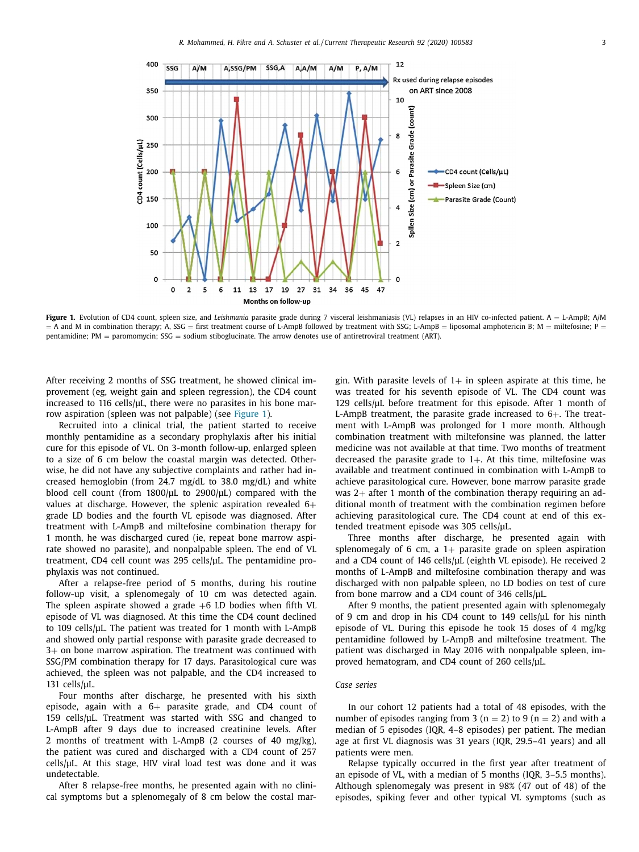

**Figure 1.** Evolution of CD4 count, spleen size, and *Leishmania* parasite grade during 7 visceral leishmaniasis (VL) relapses in an HIV co-infected patient. A = L-AmpB; A/M  $=$  A and M in combination therapy; A, SSG  $=$  first treatment course of L-AmpB followed by treatment with SSG; L-AmpB  $=$  liposomal amphotericin B; M  $=$  miltefosine; P  $=$ pentamidine; PM = paromomycin; SSG = sodium stiboglucinate. The arrow denotes use of antiretroviral treatment (ART).

After receiving 2 months of SSG treatment, he showed clinical improvement (eg, weight gain and spleen regression), the CD4 count increased to 116 cells/μL, there were no parasites in his bone marrow aspiration (spleen was not palpable) (see Figure 1).

Recruited into a clinical trial, the patient started to receive monthly pentamidine as a secondary prophylaxis after his initial cure for this episode of VL. On 3-month follow-up, enlarged spleen to a size of 6 cm below the coastal margin was detected. Otherwise, he did not have any subjective complaints and rather had increased hemoglobin (from 24.7 mg/dL to 38.0 mg/dL) and white blood cell count (from 1800/μL to 2900/μL) compared with the values at discharge. However, the splenic aspiration revealed  $6+$ grade LD bodies and the fourth VL episode was diagnosed. After treatment with L-AmpB and miltefosine combination therapy for 1 month, he was discharged cured (ie, repeat bone marrow aspirate showed no parasite), and nonpalpable spleen. The end of VL treatment, CD4 cell count was 295 cells/μL. The pentamidine prophylaxis was not continued.

After a relapse-free period of 5 months, during his routine follow-up visit, a splenomegaly of 10 cm was detected again. The spleen aspirate showed a grade  $+6$  LD bodies when fifth VL episode of VL was diagnosed. At this time the CD4 count declined to 109 cells/μL. The patient was treated for 1 month with L-AmpB and showed only partial response with parasite grade decreased to 3+ on bone marrow aspiration. The treatment was continued with SSG/PM combination therapy for 17 days. Parasitological cure was achieved, the spleen was not palpable, and the CD4 increased to 131 cells/μL.

Four months after discharge, he presented with his sixth episode, again with a  $6+$  parasite grade, and CD4 count of 159 cells/μL. Treatment was started with SSG and changed to L-AmpB after 9 days due to increased creatinine levels. After 2 months of treatment with L-AmpB (2 courses of 40 mg/kg), the patient was cured and discharged with a CD4 count of 257 cells/μL. At this stage, HIV viral load test was done and it was undetectable.

After 8 relapse-free months, he presented again with no clinical symptoms but a splenomegaly of 8 cm below the costal margin. With parasite levels of  $1+$  in spleen aspirate at this time, he was treated for his seventh episode of VL. The CD4 count was 129 cells/μL before treatment for this episode. After 1 month of L-AmpB treatment, the parasite grade increased to 6+. The treatment with L-AmpB was prolonged for 1 more month. Although combination treatment with miltefonsine was planned, the latter medicine was not available at that time. Two months of treatment decreased the parasite grade to  $1+$ . At this time, miltefosine was available and treatment continued in combination with L-AmpB to achieve parasitological cure. However, bone marrow parasite grade was 2+ after 1 month of the combination therapy requiring an additional month of treatment with the combination regimen before achieving parasitological cure. The CD4 count at end of this extended treatment episode was 305 cells/μL.

Three months after discharge, he presented again with splenomegaly of 6 cm, a  $1+$  parasite grade on spleen aspiration and a CD4 count of 146 cells/μL (eighth VL episode). He received 2 months of L-AmpB and miltefosine combination therapy and was discharged with non palpable spleen, no LD bodies on test of cure from bone marrow and a CD4 count of 346 cells/μL.

After 9 months, the patient presented again with splenomegaly of 9 cm and drop in his CD4 count to 149 cells/μL for his ninth episode of VL. During this episode he took 15 doses of 4 mg/kg pentamidine followed by L-AmpB and miltefosine treatment. The patient was discharged in May 2016 with nonpalpable spleen, improved hematogram, and CD4 count of 260 cells/μL.

## *Case series*

In our cohort 12 patients had a total of 48 episodes, with the number of episodes ranging from 3 ( $n = 2$ ) to 9 ( $n = 2$ ) and with a median of 5 episodes (IQR, 4–8 episodes) per patient. The median age at first VL diagnosis was 31 years (IQR, 29.5–41 years) and all patients were men.

Relapse typically occurred in the first year after treatment of an episode of VL, with a median of 5 months (IQR, 3–5.5 months). Although splenomegaly was present in 98% (47 out of 48) of the episodes, spiking fever and other typical VL symptoms (such as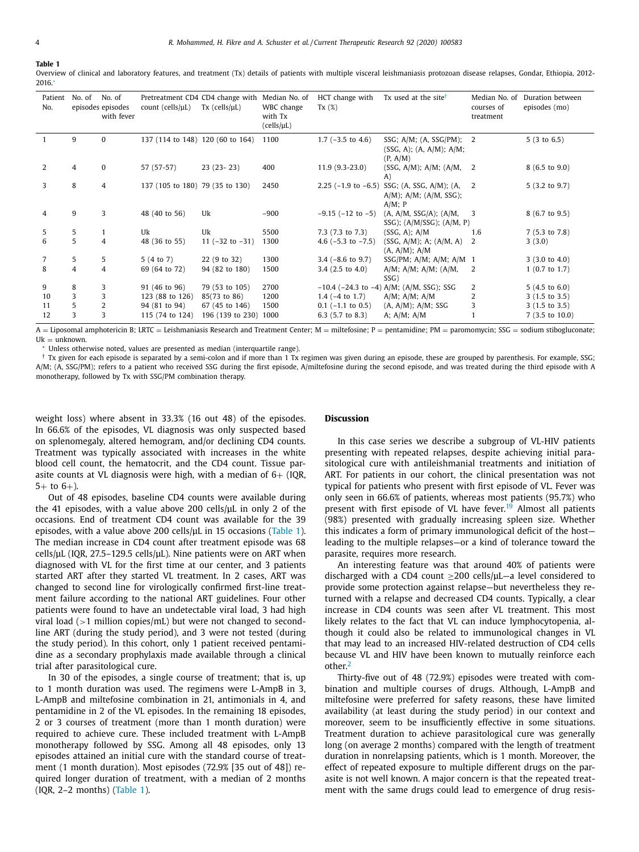**Table 1**

Overview of clinical and laboratory features, and treatment (Tx) details of patients with multiple visceral leishmaniasis protozoan disease relapses, Gondar, Ethiopia, 2012- 2016.<sup>∗</sup>

| Patient<br>No. | No. of         | No. of<br>episodes episodes<br>with fever | count (cells/ $\mu$ L)           | Pretreatment CD4 CD4 change with<br>$Tx$ (cells/ $\mu L$ ) | Median No. of<br>WBC change<br>with Tx<br>(cells/µL) | HCT change with<br>Tx(%)      | Tx used at the site <sup>t</sup>                                         | Median No. of<br>courses of<br>treatment | Duration between<br>episodes (mo) |
|----------------|----------------|-------------------------------------------|----------------------------------|------------------------------------------------------------|------------------------------------------------------|-------------------------------|--------------------------------------------------------------------------|------------------------------------------|-----------------------------------|
|                | 9              | $\mathbf{0}$                              | 137 (114 to 148) 120 (60 to 164) |                                                            | 1100                                                 | 1.7 $(-3.5 \text{ to } 4.6)$  | SSG; $A/M$ ; $(A, SSG/PM)$ ; 2<br>(SSG, A); (A, A/M); A/M;<br>(P, A/M)   |                                          | 5(3 to 6.5)                       |
| $\overline{2}$ | $\overline{4}$ | $\mathbf{0}$                              | 57 (57-57)                       | $23(23-23)$                                                | 400                                                  | $11.9(9.3-23.0)$              | (SSG, A/M); A/M; (A/M, 2)<br>A)                                          |                                          | $8(6.5 \text{ to } 9.0)$          |
| 3              | 8              | $\overline{4}$                            | 137 (105 to 180) 79 (35 to 130)  |                                                            | 2450                                                 | $2.25$ (-1.9 to -6.5)         | SSG; (A, SSG, A/M); (A, 2<br>$A/M$ ; $A/M$ ; $(A/M, SSG)$ ;<br>$A/M$ ; P |                                          | $5(3.2 \text{ to } 9.7)$          |
| 4              | 9              | 3                                         | 48 (40 to 56)                    | Uk                                                         | $-900$                                               | $-9.15$ ( $-12$ to $-5$ )     | (A, A/M, SSG/A); (A/M,<br>$SSG$ ; $(A/M/SSG)$ ; $(A/M, P)$               | - 3                                      | 8 (6.7 to 9.5)                    |
| 5              | 5              | 1                                         | Uk                               | Uk                                                         | 5500                                                 | $7.3(7.3 \text{ to } 7.3)$    | $(SSG, A)$ ; $A/M$                                                       | 1.6                                      | $7(5.3 \text{ to } 7.8)$          |
| 6              | 5              | $\overline{4}$                            | 48 (36 to 55)                    | 11 $(-32 \text{ to } -31)$                                 | 1300                                                 | 4.6 $(-5.3 \text{ to } -7.5)$ | (SSG, A/M); A; (A/M, A)<br>(A, A/M); A/M                                 | 2                                        | 3(3.0)                            |
| $\overline{7}$ | 5              | 5                                         | 5(4 to 7)                        | 22 (9 to 32)                                               | 1300                                                 | $3.4$ ( $-8.6$ to $9.7$ )     | SSG/PM; $A/M$ ; $A/M$ ; $A/M$ 1                                          |                                          | $3(3.0 \text{ to } 4.0)$          |
| 8              | $\overline{4}$ | $\overline{4}$                            | 69 (64 to 72)                    | 94 (82 to 180)                                             | 1500                                                 | $3.4(2.5 \text{ to } 4.0)$    | $A/M$ ; $A/M$ ; $A/M$ ; $(A/M)$ ,<br>SSG)                                | 2                                        | $1(0.7 \text{ to } 1.7)$          |
| 9              | 8              | 3                                         | 91 (46 to 96)                    | 79 (53 to 105)                                             | 2700                                                 |                               | $-10.4$ ( $-24.3$ to $-4$ ) A/M; (A/M, SSG); SSG                         | 2                                        | $5(4.5 \text{ to } 6.0)$          |
| 10             | 3              | 3                                         | 123 (88 to 126)                  | 85(73 to 86)                                               | 1200                                                 | $1.4$ ( $-4$ to $1.7$ )       | $A/M$ ; $A/M$ ; $A/M$                                                    | 2                                        | $3(1.5 \text{ to } 3.5)$          |
| 11             | 5              | $\overline{2}$                            | 94 (81 to 94)                    | 67 (45 to 146)                                             | 1500                                                 | $0.1$ ( $-1.1$ to $0.5$ )     | (A, A/M); A/M; SSG                                                       | 3                                        | $3(1.5 \text{ to } 3.5)$          |
| 12             | 3              | 3                                         | 115 (74 to 124)                  | 196 (139 to 230)                                           | 1000                                                 | 6.3 $(5.7 \text{ to } 8.3)$   | A; $A/M$ ; $A/M$                                                         |                                          | $7(3.5 \text{ to } 10.0)$         |

 $A = Liposomal$  amphotericin B; LRTC = Leishmaniasis Research and Treatment Center;  $M =$  miltefosine;  $P =$  pentamidine;  $PM =$  paromomycin; SSG = sodium stibogluconate;  $U_k = \text{unknown}$ 

<sup>∗</sup> Unless otherwise noted, values are presented as median (interquartile range).

 $\dagger$  Tx given for each episode is separated by a semi-colon and if more than 1 Tx regimen was given during an episode, these are grouped by parenthesis. For example, SSG; A/M; (A, SSG/PM); refers to a patient who received SSG during the first episode, A/miltefosine during the second episode, and was treated during the third episode with A monotherapy, followed by Tx with SSG/PM combination therapy.

weight loss) where absent in 33.3% (16 out 48) of the episodes. In 66.6% of the episodes, VL diagnosis was only suspected based on splenomegaly, altered hemogram, and/or declining CD4 counts. Treatment was typically associated with increases in the white blood cell count, the hematocrit, and the CD4 count. Tissue parasite counts at VL diagnosis were high, with a median of  $6+$  (IQR,  $5+$  to  $6+$ ).

Out of 48 episodes, baseline CD4 counts were available during the 41 episodes, with a value above 200 cells/μL in only 2 of the occasions. End of treatment CD4 count was available for the 39 episodes, with a value above 200 cells/μL in 15 occasions (Table 1). The median increase in CD4 count after treatment episode was 68 cells/μL (IQR, 27.5–129.5 cells/μL). Nine patients were on ART when diagnosed with VL for the first time at our center, and 3 patients started ART after they started VL treatment. In 2 cases, ART was changed to second line for virologically confirmed first-line treatment failure according to the national ART guidelines. Four other patients were found to have an undetectable viral load, 3 had high viral load  $(>1$  million copies/mL) but were not changed to secondline ART (during the study period), and 3 were not tested (during the study period). In this cohort, only 1 patient received pentamidine as a secondary prophylaxis made available through a clinical trial after parasitological cure.

In 30 of the episodes, a single course of treatment; that is, up to 1 month duration was used. The regimens were L-AmpB in 3, L-AmpB and miltefosine combination in 21, antimonials in 4, and pentamidine in 2 of the VL episodes. In the remaining 18 episodes, 2 or 3 courses of treatment (more than 1 month duration) were required to achieve cure. These included treatment with L-AmpB monotherapy followed by SSG. Among all 48 episodes, only 13 episodes attained an initial cure with the standard course of treatment (1 month duration). Most episodes (72.9% [35 out of 48]) required longer duration of treatment, with a median of 2 months (IQR, 2–2 months) (Table 1).

## **Discussion**

In this case series we describe a subgroup of VL-HIV patients presenting with repeated relapses, despite achieving initial parasitological cure with antileishmanial treatments and initiation of ART. For patients in our cohort, the clinical presentation was not typical for patients who present with first episode of VL. Fever was only seen in 66.6% of patients, whereas most patients (95.7%) who present with first episode of VL have fever.<sup>[19](#page-5-0)</sup> Almost all patients (98%) presented with gradually increasing spleen size. Whether this indicates a form of primary immunological deficit of the host leading to the multiple relapses—or a kind of tolerance toward the parasite, requires more research.

An interesting feature was that around 40% of patients were discharged with a CD4 count  $\geq$ 200 cells/ $\mu$ L-a level considered to provide some protection against relapse—but nevertheless they returned with a relapse and decreased CD4 counts. Typically, a clear increase in CD4 counts was seen after VL treatment. This most likely relates to the fact that VL can induce lymphocytopenia, although it could also be related to immunological changes in VL that may lead to an increased HIV-related destruction of CD4 cells because VL and HIV have been known to mutually reinforce each other.[2](#page-4-0)

Thirty-five out of 48 (72.9%) episodes were treated with combination and multiple courses of drugs. Although, L-AmpB and miltefosine were preferred for safety reasons, these have limited availability (at least during the study period) in our context and moreover, seem to be insufficiently effective in some situations. Treatment duration to achieve parasitological cure was generally long (on average 2 months) compared with the length of treatment duration in nonrelapsing patients, which is 1 month. Moreover, the effect of repeated exposure to multiple different drugs on the parasite is not well known. A major concern is that the repeated treatment with the same drugs could lead to emergence of drug resis-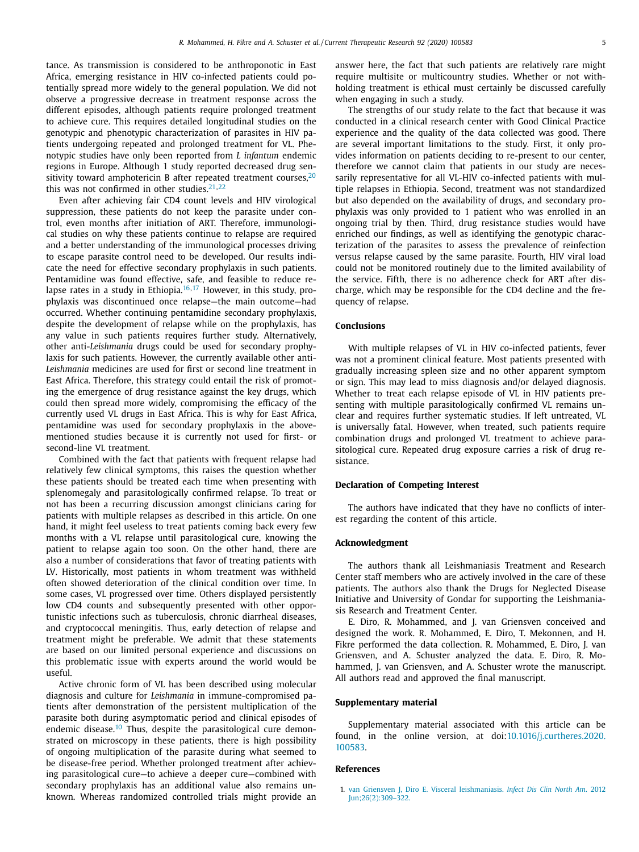<span id="page-4-0"></span>tance. As transmission is considered to be anthroponotic in East Africa, emerging resistance in HIV co-infected patients could potentially spread more widely to the general population. We did not observe a progressive decrease in treatment response across the different episodes, although patients require prolonged treatment to achieve cure. This requires detailed longitudinal studies on the genotypic and phenotypic characterization of parasites in HIV patients undergoing repeated and prolonged treatment for VL. Phenotypic studies have only been reported from *L infantum* endemic regions in Europe. Although 1 study reported decreased drug sensitivity toward amphotericin B after repeated treatment courses, $20$ this was not confirmed in other studies. $21,22$ 

Even after achieving fair CD4 count levels and HIV virological suppression, these patients do not keep the parasite under control, even months after initiation of ART. Therefore, immunological studies on why these patients continue to relapse are required and a better understanding of the immunological processes driving to escape parasite control need to be developed. Our results indicate the need for effective secondary prophylaxis in such patients. Pentamidine was found effective, safe, and feasible to reduce relapse rates in a study in Ethiopia. $16,17$  However, in this study, prophylaxis was discontinued once relapse—the main outcome—had occurred. Whether continuing pentamidine secondary prophylaxis, despite the development of relapse while on the prophylaxis, has any value in such patients requires further study. Alternatively, other anti-*Leishmania* drugs could be used for secondary prophylaxis for such patients. However, the currently available other anti-*Leishmania* medicines are used for first or second line treatment in East Africa. Therefore, this strategy could entail the risk of promoting the emergence of drug resistance against the key drugs, which could then spread more widely, compromising the efficacy of the currently used VL drugs in East Africa. This is why for East Africa, pentamidine was used for secondary prophylaxis in the abovementioned studies because it is currently not used for first- or second-line VL treatment.

Combined with the fact that patients with frequent relapse had relatively few clinical symptoms, this raises the question whether these patients should be treated each time when presenting with splenomegaly and parasitologically confirmed relapse. To treat or not has been a recurring discussion amongst clinicians caring for patients with multiple relapses as described in this article. On one hand, it might feel useless to treat patients coming back every few months with a VL relapse until parasitological cure, knowing the patient to relapse again too soon. On the other hand, there are also a number of considerations that favor of treating patients with LV. Historically, most patients in whom treatment was withheld often showed deterioration of the clinical condition over time. In some cases, VL progressed over time. Others displayed persistently low CD4 counts and subsequently presented with other opportunistic infections such as tuberculosis, chronic diarrheal diseases, and cryptococcal meningitis. Thus, early detection of relapse and treatment might be preferable. We admit that these statements are based on our limited personal experience and discussions on this problematic issue with experts around the world would be useful.

Active chronic form of VL has been described using molecular diagnosis and culture for *Leishmania* in immune-compromised patients after demonstration of the persistent multiplication of the parasite both during asymptomatic period and clinical episodes of endemic disease.<sup>[10](#page-5-0)</sup> Thus, despite the parasitological cure demonstrated on microscopy in these patients, there is high possibility of ongoing multiplication of the parasite during what seemed to be disease-free period. Whether prolonged treatment after achieving parasitological cure—to achieve a deeper cure—combined with secondary prophylaxis has an additional value also remains unknown. Whereas randomized controlled trials might provide an answer here, the fact that such patients are relatively rare might require multisite or multicountry studies. Whether or not withholding treatment is ethical must certainly be discussed carefully when engaging in such a study.

The strengths of our study relate to the fact that because it was conducted in a clinical research center with Good Clinical Practice experience and the quality of the data collected was good. There are several important limitations to the study. First, it only provides information on patients deciding to re-present to our center, therefore we cannot claim that patients in our study are necessarily representative for all VL-HIV co-infected patients with multiple relapses in Ethiopia. Second, treatment was not standardized but also depended on the availability of drugs, and secondary prophylaxis was only provided to 1 patient who was enrolled in an ongoing trial by then. Third, drug resistance studies would have enriched our findings, as well as identifying the genotypic characterization of the parasites to assess the prevalence of reinfection versus relapse caused by the same parasite. Fourth, HIV viral load could not be monitored routinely due to the limited availability of the service. Fifth, there is no adherence check for ART after discharge, which may be responsible for the CD4 decline and the frequency of relapse.

## **Conclusions**

With multiple relapses of VL in HIV co-infected patients, fever was not a prominent clinical feature. Most patients presented with gradually increasing spleen size and no other apparent symptom or sign. This may lead to miss diagnosis and/or delayed diagnosis. Whether to treat each relapse episode of VL in HIV patients presenting with multiple parasitologically confirmed VL remains unclear and requires further systematic studies. If left untreated, VL is universally fatal. However, when treated, such patients require combination drugs and prolonged VL treatment to achieve parasitological cure. Repeated drug exposure carries a risk of drug resistance.

#### **Declaration of Competing Interest**

The authors have indicated that they have no conflicts of interest regarding the content of this article.

## **Acknowledgment**

The authors thank all Leishmaniasis Treatment and Research Center staff members who are actively involved in the care of these patients. The authors also thank the Drugs for Neglected Disease Initiative and University of Gondar for supporting the Leishmaniasis Research and Treatment Center.

E. Diro, R. Mohammed, and J. van Griensven conceived and designed the work. R. Mohammed, E. Diro, T. Mekonnen, and H. Fikre performed the data collection. R. Mohammed, E. Diro, J. van Griensven, and A. Schuster analyzed the data. E. Diro, R. Mohammed, J. van Griensven, and A. Schuster wrote the manuscript. All authors read and approved the final manuscript.

### **Supplementary material**

Supplementary material associated with this article can be found, in the online version, at [doi:10.1016/j.curtheres.2020.](https://doi.org/10.1016/j.curtheres.2020.100583) 100583.

### **References**

1. van [Griensven](http://refhub.elsevier.com/S0011-393X(20)30009-6/sbref0001) J, [Diro](http://refhub.elsevier.com/S0011-393X(20)30009-6/sbref0001) E. Visceral leishmaniasis. *Infect Dis Clin North Am*. 2012 [Jun;26\(2\):309–322.](http://refhub.elsevier.com/S0011-393X(20)30009-6/sbref0001)